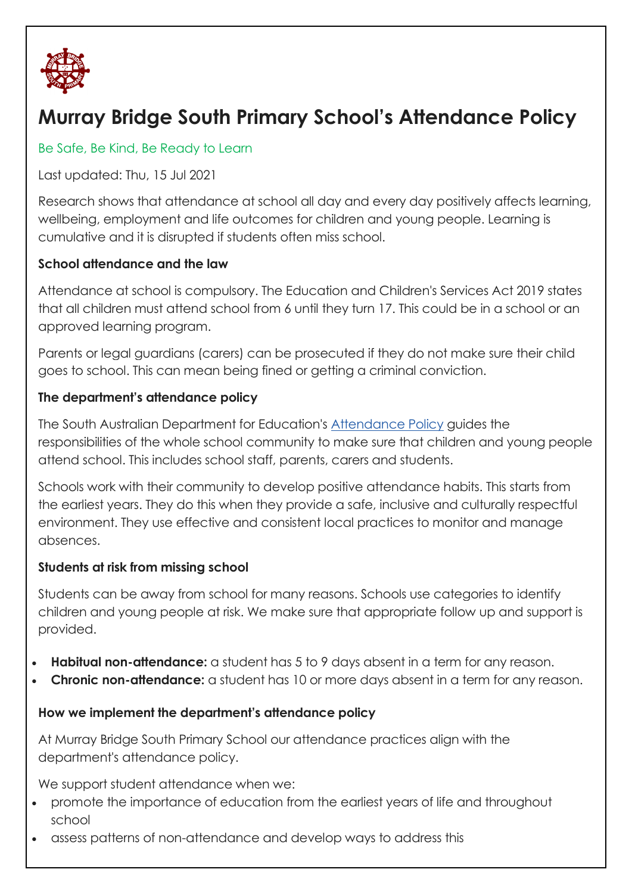

# **Murray Bridge South Primary School's Attendance Policy**

## Be Safe, Be Kind, Be Ready to Learn

Last updated: Thu, 15 Jul 2021

Research shows that attendance at school all day and every day positively affects learning, wellbeing, employment and life outcomes for children and young people. Learning is cumulative and it is disrupted if students often miss school.

## **School attendance and the law**

Attendance at school is compulsory. The Education and Children's Services Act 2019 states that all children must attend school from 6 until they turn 17. This could be in a school or an approved learning program.

Parents or legal guardians (carers) can be prosecuted if they do not make sure their child goes to school. This can mean being fined or getting a criminal conviction.

### **The department's attendance policy**

The South Australian Department for Education's [Attendance Policy](https://www.education.sa.gov.au/doc/attendance-policy) guides the responsibilities of the whole school community to make sure that children and young people attend school. This includes school staff, parents, carers and students.

Schools work with their community to develop positive attendance habits. This starts from the earliest years. They do this when they provide a safe, inclusive and culturally respectful environment. They use effective and consistent local practices to monitor and manage absences.

### **Students at risk from missing school**

Students can be away from school for many reasons. Schools use categories to identify children and young people at risk. We make sure that appropriate follow up and support is provided.

- **Habitual non-attendance:** a student has 5 to 9 days absent in a term for any reason.
- **Chronic non-attendance:** a student has 10 or more days absent in a term for any reason.

### **How we implement the department's attendance policy**

At Murray Bridge South Primary School our attendance practices align with the department's attendance policy.

We support student attendance when we:

- promote the importance of education from the earliest years of life and throughout school
- assess patterns of non-attendance and develop ways to address this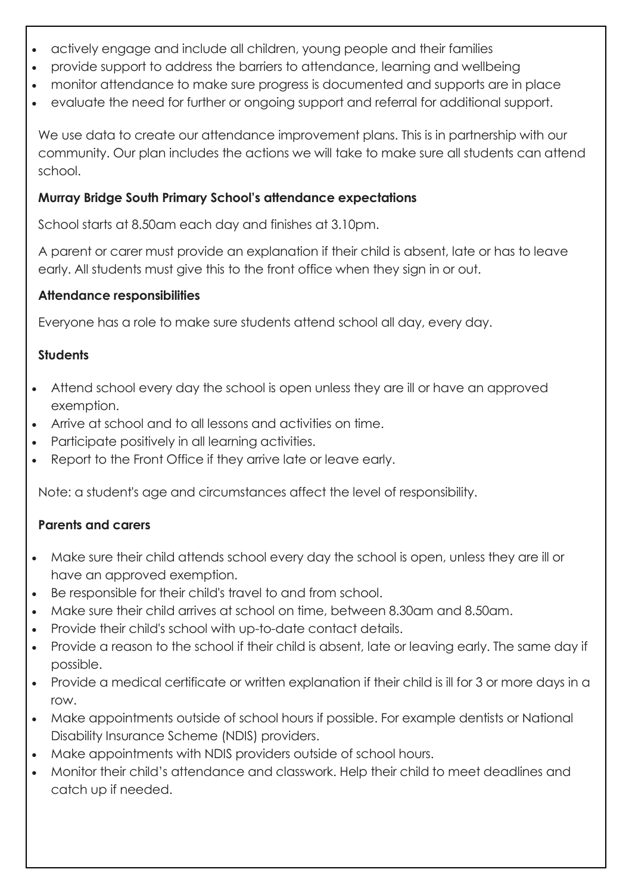- actively engage and include all children, young people and their families
- provide support to address the barriers to attendance, learning and wellbeing
- monitor attendance to make sure progress is documented and supports are in place
- evaluate the need for further or ongoing support and referral for additional support.

We use data to create our attendance improvement plans. This is in partnership with our community. Our plan includes the actions we will take to make sure all students can attend school.

## **Murray Bridge South Primary School's attendance expectations**

School starts at 8.50am each day and finishes at 3.10pm.

A parent or carer must provide an explanation if their child is absent, late or has to leave early. All students must give this to the front office when they sign in or out.

## **Attendance responsibilities**

Everyone has a role to make sure students attend school all day, every day.

# **Students**

- Attend school every day the school is open unless they are ill or have an approved exemption.
- Arrive at school and to all lessons and activities on time.
- Participate positively in all learning activities.
- Report to the Front Office if they arrive late or leave early.

Note: a student's age and circumstances affect the level of responsibility.

# **Parents and carers**

- Make sure their child attends school every day the school is open, unless they are ill or have an approved exemption.
- Be responsible for their child's travel to and from school.
- Make sure their child arrives at school on time, between 8.30am and 8.50am.
- Provide their child's school with up-to-date contact details.
- Provide a reason to the school if their child is absent, late or leaving early. The same day if possible.
- Provide a medical certificate or written explanation if their child is ill for 3 or more days in a row.
- Make appointments outside of school hours if possible. For example dentists or National Disability Insurance Scheme (NDIS) providers.
- Make appointments with NDIS providers outside of school hours.
- Monitor their child's attendance and classwork. Help their child to meet deadlines and catch up if needed.